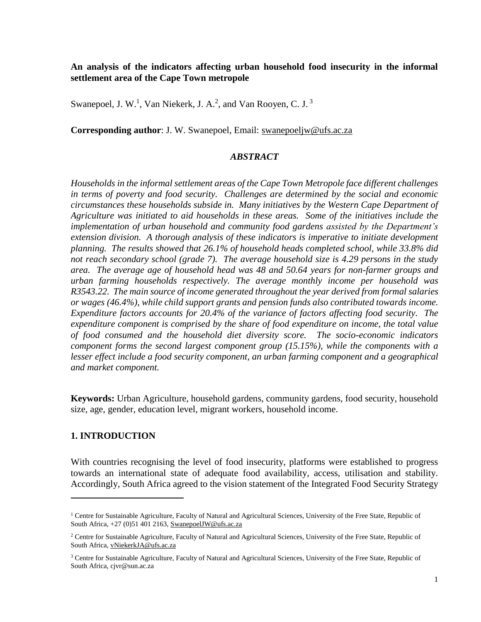#### **An analysis of the indicators affecting urban household food insecurity in the informal settlement area of the Cape Town metropole**

Swanepoel, J. W.<sup>1</sup>, Van Niekerk, J. A.<sup>2</sup>, and Van Rooyen, C. J.<sup>3</sup>

**Corresponding author**: J. W. Swanepoel, Email: swanepoeljw@ufs.ac.za

#### *ABSTRACT*

*Households in the informal settlement areas of the Cape Town Metropole face different challenges in terms of poverty and food security. Challenges are determined by the social and economic circumstances these households subside in. Many initiatives by the Western Cape Department of Agriculture was initiated to aid households in these areas. Some of the initiatives include the implementation of urban household and community food gardens assisted by the Department's*  extension division. A thorough analysis of these indicators is imperative to initiate development *planning. The results showed that 26.1% of household heads completed school, while 33.8% did not reach secondary school (grade 7). The average household size is 4.29 persons in the study area. The average age of household head was 48 and 50.64 years for non-farmer groups and urban farming households respectively. The average monthly income per household was R3543.22. The main source of income generated throughout the year derived from formal salaries or wages (46.4%), while child support grants and pension funds also contributed towards income. Expenditure factors accounts for 20.4% of the variance of factors affecting food security. The expenditure component is comprised by the share of food expenditure on income, the total value of food consumed and the household diet diversity score. The socio-economic indicators component forms the second largest component group (15.15%), while the components with a lesser effect include a food security component, an urban farming component and a geographical and market component.*

**Keywords:** Urban Agriculture, household gardens, community gardens, food security, household size, age, gender, education level, migrant workers, household income.

#### **1. INTRODUCTION**

 $\overline{a}$ 

With countries recognising the level of food insecurity, platforms were established to progress towards an international state of adequate food availability, access, utilisation and stability. Accordingly, South Africa agreed to the vision statement of the Integrated Food Security Strategy

 $1$  Centre for Sustainable Agriculture, Faculty of Natural and Agricultural Sciences, University of the Free State, Republic of South Africa, +27 (0)51 401 2163, [SwanepoelJW@ufs.ac.za](mailto:SwanepoelJW@ufs.ac.za)

 $2$  Centre for Sustainable Agriculture, Faculty of Natural and Agricultural Sciences, University of the Free State, Republic of South Africa, [vNiekerkJA@ufs.ac.za](mailto:vNiekerkJA@ufs.ac.za)

<sup>&</sup>lt;sup>3</sup> Centre for Sustainable Agriculture, Faculty of Natural and Agricultural Sciences, University of the Free State, Republic of South Africa, cjvr@sun.ac.za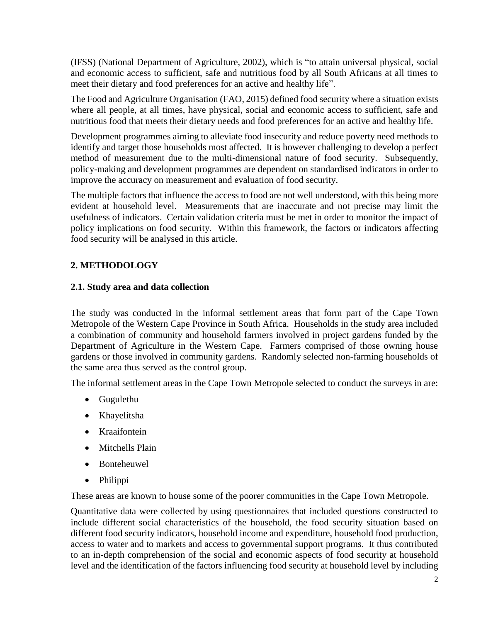(IFSS) (National Department of Agriculture, 2002), which is "to attain universal physical, social and economic access to sufficient, safe and nutritious food by all South Africans at all times to meet their dietary and food preferences for an active and healthy life".

The Food and Agriculture Organisation (FAO, 2015) defined food security where a situation exists where all people, at all times, have physical, social and economic access to sufficient, safe and nutritious food that meets their dietary needs and food preferences for an active and healthy life.

Development programmes aiming to alleviate food insecurity and reduce poverty need methods to identify and target those households most affected. It is however challenging to develop a perfect method of measurement due to the multi-dimensional nature of food security. Subsequently, policy-making and development programmes are dependent on standardised indicators in order to improve the accuracy on measurement and evaluation of food security.

The multiple factors that influence the access to food are not well understood, with this being more evident at household level. Measurements that are inaccurate and not precise may limit the usefulness of indicators. Certain validation criteria must be met in order to monitor the impact of policy implications on food security. Within this framework, the factors or indicators affecting food security will be analysed in this article.

# **2. METHODOLOGY**

## **2.1. Study area and data collection**

The study was conducted in the informal settlement areas that form part of the Cape Town Metropole of the Western Cape Province in South Africa. Households in the study area included a combination of community and household farmers involved in project gardens funded by the Department of Agriculture in the Western Cape. Farmers comprised of those owning house gardens or those involved in community gardens. Randomly selected non-farming households of the same area thus served as the control group.

The informal settlement areas in the Cape Town Metropole selected to conduct the surveys in are:

- Gugulethu
- Khayelitsha
- Kraaifontein
- Mitchells Plain
- Bonteheuwel
- Philippi

These areas are known to house some of the poorer communities in the Cape Town Metropole.

Quantitative data were collected by using questionnaires that included questions constructed to include different social characteristics of the household, the food security situation based on different food security indicators, household income and expenditure, household food production, access to water and to markets and access to governmental support programs. It thus contributed to an in-depth comprehension of the social and economic aspects of food security at household level and the identification of the factors influencing food security at household level by including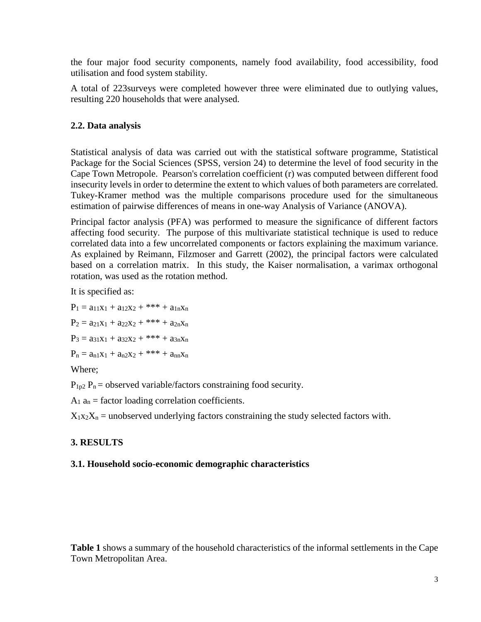the four major food security components, namely food availability, food accessibility, food utilisation and food system stability.

A total of 223surveys were completed however three were eliminated due to outlying values, resulting 220 households that were analysed.

## **2.2. Data analysis**

Statistical analysis of data was carried out with the statistical software programme, Statistical Package for the Social Sciences (SPSS, version 24) to determine the level of food security in the Cape Town Metropole. Pearson's correlation coefficient (r) was computed between different food insecurity levels in order to determine the extent to which values of both parameters are correlated. Tukey-Kramer method was the multiple comparisons procedure used for the simultaneous estimation of pairwise differences of means in one-way Analysis of Variance (ANOVA).

Principal factor analysis (PFA) was performed to measure the significance of different factors affecting food security. The purpose of this multivariate statistical technique is used to reduce correlated data into a few uncorrelated components or factors explaining the maximum variance. As explained by Reimann, Filzmoser and Garrett (2002), the principal factors were calculated based on a correlation matrix. In this study, the Kaiser normalisation, a varimax orthogonal rotation, was used as the rotation method.

It is specified as:

 $P_1 = a_{11}x_1 + a_{12}x_2 +$ \*\*\* +  $a_{1n}x_n$  $P_2 = a_{21}x_1 + a_{22}x_2 +$ \*\*\* +  $a_{2n}x_n$  $P_3 = a_{31}x_1 + a_{32}x_2 +$ \*\*\* +  $a_{3n}x_n$  $P_n = a_{n1}x_1 + a_{n2}x_2 +$ \*\*\* +  $a_{nn}x_n$ 

Where;

 $P_{1p2}$   $P_n$  = observed variable/factors constraining food security.

 $A_1$   $a_n$  = factor loading correlation coefficients.

 $X_1x_2X_n$  = unobserved underlying factors constraining the study selected factors with.

# **3. RESULTS**

## **3.1. Household socio-economic demographic characteristics**

**[Table 1](#page-3-0)** shows a summary of the household characteristics of the informal settlements in the Cape Town Metropolitan Area.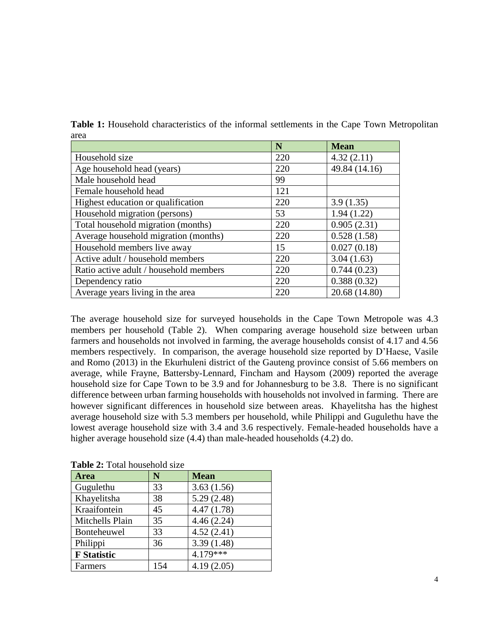|                                        | N   | <b>Mean</b>   |
|----------------------------------------|-----|---------------|
| Household size                         | 220 | 4.32(2.11)    |
| Age household head (years)             | 220 | 49.84 (14.16) |
| Male household head                    | 99  |               |
| Female household head                  | 121 |               |
| Highest education or qualification     | 220 | 3.9(1.35)     |
| Household migration (persons)          | 53  | 1.94(1.22)    |
| Total household migration (months)     | 220 | 0.905(2.31)   |
| Average household migration (months)   | 220 | 0.528(1.58)   |
| Household members live away            | 15  | 0.027(0.18)   |
| Active adult / household members       | 220 | 3.04(1.63)    |
| Ratio active adult / household members | 220 | 0.744(0.23)   |
| Dependency ratio                       | 220 | 0.388(0.32)   |
| Average years living in the area       | 220 | 20.68 (14.80) |

<span id="page-3-0"></span>**Table 1:** Household characteristics of the informal settlements in the Cape Town Metropolitan area

The average household size for surveyed households in the Cape Town Metropole was 4.3 members per household [\(Table 2\)](#page-3-1). When comparing average household size between urban farmers and households not involved in farming, the average households consist of 4.17 and 4.56 members respectively. In comparison, the average household size reported by D'Haese, Vasile and Romo (2013) in the Ekurhuleni district of the Gauteng province consist of 5.66 members on average, while Frayne, Battersby-Lennard, Fincham and Haysom (2009) reported the average household size for Cape Town to be 3.9 and for Johannesburg to be 3.8. There is no significant difference between urban farming households with households not involved in farming. There are however significant differences in household size between areas. Khayelitsha has the highest average household size with 5.3 members per household, while Philippi and Gugulethu have the lowest average household size with 3.4 and 3.6 respectively. Female-headed households have a higher average household size (4.4) than male-headed households (4.2) do.

| <b>rapic 2.</b> Foldi household size |     |             |  |  |  |
|--------------------------------------|-----|-------------|--|--|--|
| <b>Area</b>                          | N   | <b>Mean</b> |  |  |  |
| Gugulethu                            | 33  | 3.63(1.56)  |  |  |  |
| Khayelitsha                          | 38  | 5.29(2.48)  |  |  |  |
| Kraaifontein                         | 45  | 4.47(1.78)  |  |  |  |
| Mitchells Plain                      | 35  | 4.46(2.24)  |  |  |  |
| Bonteheuwel                          | 33  | 4.52(2.41)  |  |  |  |
| Philippi                             | 36  | 3.39(1.48)  |  |  |  |
| <b>F</b> Statistic                   |     | $4.179***$  |  |  |  |
| Farmers                              | 154 | 4.19(2.05)  |  |  |  |

<span id="page-3-1"></span>**Table 2:** Total household size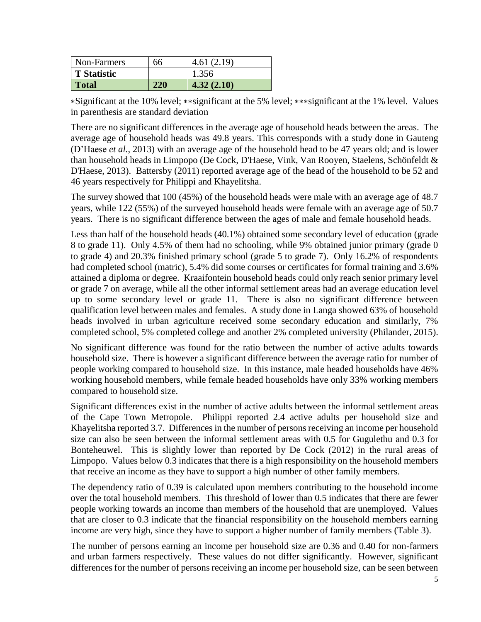| Non-Farmers        | 66  | 4.61(2.19) |
|--------------------|-----|------------|
| <b>T</b> Statistic |     | 1.356      |
| <b>Total</b>       | 220 | 4.32(2.10) |

∗Significant at the 10% level; ∗∗significant at the 5% level; ∗∗∗significant at the 1% level. Values in parenthesis are standard deviation

There are no significant differences in the average age of household heads between the areas. The average age of household heads was 49.8 years. This corresponds with a study done in Gauteng (D'Haese *et al.*, 2013) with an average age of the household head to be 47 years old; and is lower than household heads in Limpopo (De Cock, D'Haese, Vink, Van Rooyen, Staelens, Schönfeldt & D'Haese, 2013). Battersby (2011) reported average age of the head of the household to be 52 and 46 years respectively for Philippi and Khayelitsha.

The survey showed that 100 (45%) of the household heads were male with an average age of 48.7 years, while 122 (55%) of the surveyed household heads were female with an average age of 50.7 years. There is no significant difference between the ages of male and female household heads.

Less than half of the household heads (40.1%) obtained some secondary level of education (grade 8 to grade 11). Only 4.5% of them had no schooling, while 9% obtained junior primary (grade 0 to grade 4) and 20.3% finished primary school (grade 5 to grade 7). Only 16.2% of respondents had completed school (matric), 5.4% did some courses or certificates for formal training and 3.6% attained a diploma or degree. Kraaifontein household heads could only reach senior primary level or grade 7 on average, while all the other informal settlement areas had an average education level up to some secondary level or grade 11. There is also no significant difference between qualification level between males and females. A study done in Langa showed 63% of household heads involved in urban agriculture received some secondary education and similarly, 7% completed school, 5% completed college and another 2% completed university (Philander, 2015).

No significant difference was found for the ratio between the number of active adults towards household size. There is however a significant difference between the average ratio for number of people working compared to household size. In this instance, male headed households have 46% working household members, while female headed households have only 33% working members compared to household size.

Significant differences exist in the number of active adults between the informal settlement areas of the Cape Town Metropole. Philippi reported 2.4 active adults per household size and Khayelitsha reported 3.7. Differences in the number of persons receiving an income per household size can also be seen between the informal settlement areas with 0.5 for Gugulethu and 0.3 for Bonteheuwel. This is slightly lower than reported by De Cock (2012) in the rural areas of Limpopo. Values below 0.3 indicates that there is a high responsibility on the household members that receive an income as they have to support a high number of other family members.

The dependency ratio of 0.39 is calculated upon members contributing to the household income over the total household members. This threshold of lower than 0.5 indicates that there are fewer people working towards an income than members of the household that are unemployed. Values that are closer to 0.3 indicate that the financial responsibility on the household members earning income are very high, since they have to support a higher number of family members [\(Table 3\)](#page-5-0).

The number of persons earning an income per household size are 0.36 and 0.40 for non-farmers and urban farmers respectively. These values do not differ significantly. However, significant differences for the number of persons receiving an income per household size, can be seen between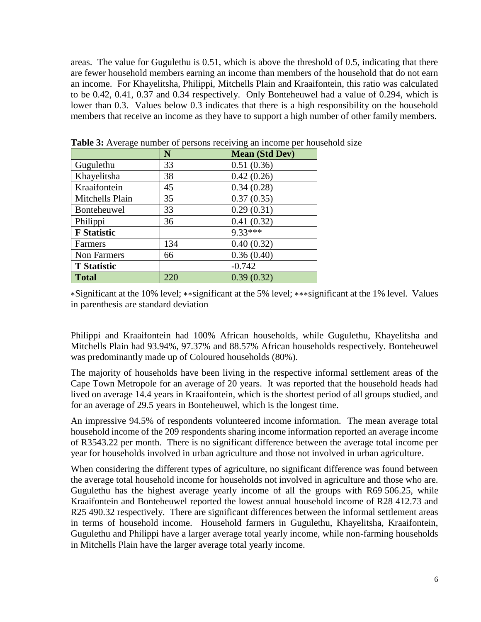areas. The value for Gugulethu is 0.51, which is above the threshold of 0.5, indicating that there are fewer household members earning an income than members of the household that do not earn an income. For Khayelitsha, Philippi, Mitchells Plain and Kraaifontein, this ratio was calculated to be 0.42, 0.41, 0.37 and 0.34 respectively. Only Bonteheuwel had a value of 0.294, which is lower than 0.3. Values below 0.3 indicates that there is a high responsibility on the household members that receive an income as they have to support a high number of other family members.

|                    | N   | <b>Mean (Std Dev)</b> |
|--------------------|-----|-----------------------|
| Gugulethu          | 33  | 0.51(0.36)            |
| Khayelitsha        | 38  | 0.42(0.26)            |
| Kraaifontein       | 45  | 0.34(0.28)            |
| Mitchells Plain    | 35  | 0.37(0.35)            |
| Bonteheuwel        | 33  | 0.29(0.31)            |
| Philippi           | 36  | 0.41(0.32)            |
| <b>F</b> Statistic |     | $9.33***$             |
| Farmers            | 134 | 0.40(0.32)            |
| Non Farmers        | 66  | 0.36(0.40)            |
| <b>T</b> Statistic |     | $-0.742$              |
| <b>Total</b>       | 220 | 0.39(0.32)            |

<span id="page-5-0"></span>**Table 3:** Average number of persons receiving an income per household size

∗Significant at the 10% level; ∗∗significant at the 5% level; ∗∗∗significant at the 1% level. Values in parenthesis are standard deviation

Philippi and Kraaifontein had 100% African households, while Gugulethu, Khayelitsha and Mitchells Plain had 93.94%, 97.37% and 88.57% African households respectively. Bonteheuwel was predominantly made up of Coloured households (80%).

The majority of households have been living in the respective informal settlement areas of the Cape Town Metropole for an average of 20 years. It was reported that the household heads had lived on average 14.4 years in Kraaifontein, which is the shortest period of all groups studied, and for an average of 29.5 years in Bonteheuwel, which is the longest time.

An impressive 94.5% of respondents volunteered income information. The mean average total household income of the 209 respondents sharing income information reported an average income of R3543.22 per month. There is no significant difference between the average total income per year for households involved in urban agriculture and those not involved in urban agriculture.

When considering the different types of agriculture, no significant difference was found between the average total household income for households not involved in agriculture and those who are. Gugulethu has the highest average yearly income of all the groups with R69 506.25, while Kraaifontein and Bonteheuwel reported the lowest annual household income of R28 412.73 and R25 490.32 respectively. There are significant differences between the informal settlement areas in terms of household income. Household farmers in Gugulethu, Khayelitsha, Kraaifontein, Gugulethu and Philippi have a larger average total yearly income, while non-farming households in Mitchells Plain have the larger average total yearly income.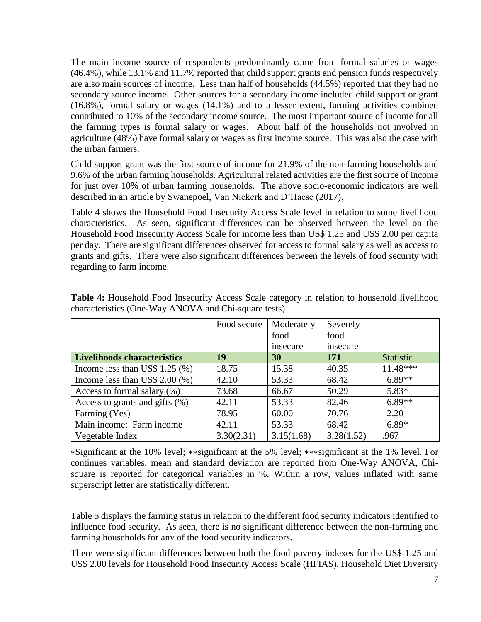The main income source of respondents predominantly came from formal salaries or wages (46.4%), while 13.1% and 11.7% reported that child support grants and pension funds respectively are also main sources of income. Less than half of households (44.5%) reported that they had no secondary source income. Other sources for a secondary income included child support or grant (16.8%), formal salary or wages (14.1%) and to a lesser extent, farming activities combined contributed to 10% of the secondary income source. The most important source of income for all the farming types is formal salary or wages. About half of the households not involved in agriculture (48%) have formal salary or wages as first income source. This was also the case with the urban farmers.

Child support grant was the first source of income for 21.9% of the non-farming households and 9.6% of the urban farming households. Agricultural related activities are the first source of income for just over 10% of urban farming households. The above socio-economic indicators are well described in an article by Swanepoel, Van Niekerk and D'Haese (2017).

[Table 4](#page-6-0) shows the Household Food Insecurity Access Scale level in relation to some livelihood characteristics. As seen, significant differences can be observed between the level on the Household Food Insecurity Access Scale for income less than US\$ 1.25 and US\$ 2.00 per capita per day. There are significant differences observed for access to formal salary as well as access to grants and gifts. There were also significant differences between the levels of food security with regarding to farm income.

|                                    | Food secure | Moderately | Severely   |            |
|------------------------------------|-------------|------------|------------|------------|
|                                    |             | food       | food       |            |
|                                    |             | insecure   | insecure   |            |
| <b>Livelihoods characteristics</b> | 19          | 30         | 171        | Statistic  |
| Income less than US\$ 1.25 $(\%)$  | 18.75       | 15.38      | 40.35      | $11.48***$ |
| Income less than US\$ $2.00\,(%)$  | 42.10       | 53.33      | 68.42      | $6.89**$   |
| Access to formal salary $(\%)$     | 73.68       | 66.67      | 50.29      | $5.83*$    |
| Access to grants and gifts $(\%)$  | 42.11       | 53.33      | 82.46      | $6.89**$   |
| Farming (Yes)                      | 78.95       | 60.00      | 70.76      | 2.20       |
| Main income: Farm income           | 42.11       | 53.33      | 68.42      | $6.89*$    |
| Vegetable Index                    | 3.30(2.31)  | 3.15(1.68) | 3.28(1.52) | .967       |

<span id="page-6-0"></span>**Table 4:** Household Food Insecurity Access Scale category in relation to household livelihood characteristics (One-Way ANOVA and Chi-square tests)

∗Significant at the 10% level; ∗∗significant at the 5% level; ∗∗∗significant at the 1% level. For continues variables, mean and standard deviation are reported from One-Way ANOVA, Chisquare is reported for categorical variables in %. Within a row, values inflated with same superscript letter are statistically different.

[Table 5](#page-7-0) displays the farming status in relation to the different food security indicators identified to influence food security. As seen, there is no significant difference between the non-farming and farming households for any of the food security indicators.

There were significant differences between both the food poverty indexes for the US\$ 1.25 and US\$ 2.00 levels for Household Food Insecurity Access Scale (HFIAS), Household Diet Diversity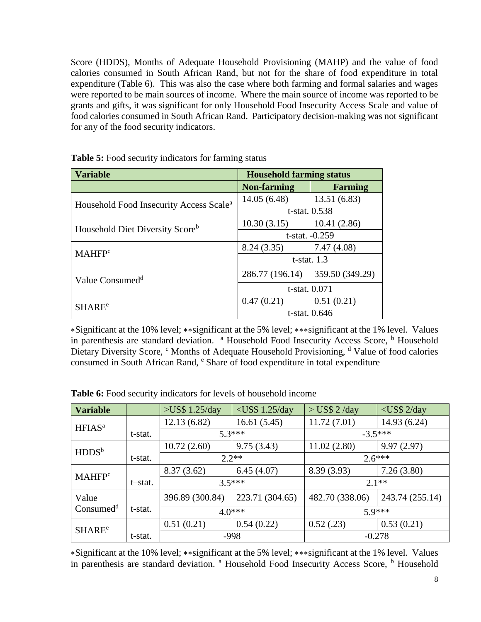Score (HDDS), Months of Adequate Household Provisioning (MAHP) and the value of food calories consumed in South African Rand, but not for the share of food expenditure in total expenditure [\(Table 6\)](#page-7-1). This was also the case where both farming and formal salaries and wages were reported to be main sources of income. Where the main source of income was reported to be grants and gifts, it was significant for only Household Food Insecurity Access Scale and value of food calories consumed in South African Rand. Participatory decision-making was not significant for any of the food security indicators.

| <b>Variable</b>                                     | <b>Household farming status</b> |                 |  |  |
|-----------------------------------------------------|---------------------------------|-----------------|--|--|
|                                                     | <b>Non-farming</b>              | <b>Farming</b>  |  |  |
|                                                     | 14.05(6.48)                     | 13.51(6.83)     |  |  |
| Household Food Insecurity Access Scale <sup>a</sup> | t-stat. 0.538                   |                 |  |  |
| Household Diet Diversity Score <sup>b</sup>         | 10.30(3.15)                     | 10.41(2.86)     |  |  |
|                                                     | $t$ -stat. $-0.259$             |                 |  |  |
| <b>MAHFP</b> <sup>c</sup>                           | 8.24(3.35)                      | 7.47(4.08)      |  |  |
|                                                     | $t$ -stat. 1.3                  |                 |  |  |
| Value Consumed <sup>d</sup>                         | 286.77 (196.14)                 | 359.50 (349.29) |  |  |
|                                                     | t-stat. 0.071                   |                 |  |  |
| <b>SHARE<sup>e</sup></b>                            | 0.47(0.21)                      | 0.51(0.21)      |  |  |
|                                                     | t-stat. 0.646                   |                 |  |  |

<span id="page-7-0"></span>**Table 5:** Food security indicators for farming status

∗Significant at the 10% level; ∗∗significant at the 5% level; ∗∗∗significant at the 1% level. Values in parenthesis are standard deviation. <sup>a</sup> Household Food Insecurity Access Score, <sup>b</sup> Household Dietary Diversity Score, <sup>c</sup> Months of Adequate Household Provisioning, <sup>d</sup> Value of food calories consumed in South African Rand, <sup>e</sup> Share of food expenditure in total expenditure

| <b>Variable</b>           |         | $>$ US\$ 1.25/day | $<$ US\$ 1.25/day | $>$ US\$ 2/day  | $<$ US\$ 2/day  |  |
|---------------------------|---------|-------------------|-------------------|-----------------|-----------------|--|
| HFIAS <sup>a</sup>        |         | 12.13 (6.82)      | 16.61(5.45)       | 11.72(7.01)     | 14.93 (6.24)    |  |
|                           | t-stat. |                   | $5.3***$          |                 | $-3.5***$       |  |
| HDDS <sup>b</sup>         |         | 10.72(2.60)       | 9.75(3.43)        | 11.02(2.80)     | 9.97(2.97)      |  |
|                           | t-stat. |                   | $2.2**$           |                 | $2.6***$        |  |
| <b>MAHFP</b> <sup>c</sup> |         | 8.37(3.62)        | 6.45(4.07)        | 8.39 (3.93)     | 7.26(3.80)      |  |
|                           | t-stat. |                   | $35***$           |                 | $2.1**$         |  |
| Value                     |         | 396.89 (300.84)   | 223.71 (304.65)   | 482.70 (338.06) | 243.74 (255.14) |  |
| Consumed <sup>d</sup>     | t-stat. |                   | $4.0***$          |                 | $59***$         |  |
| <b>SHARE<sup>e</sup></b>  |         | 0.51(0.21)        | 0.54(0.22)        | 0.52(.23)       | 0.53(0.21)      |  |
|                           | t-stat. |                   | -998              | $-0.278$        |                 |  |

<span id="page-7-1"></span>**Table 6:** Food security indicators for levels of household income

∗Significant at the 10% level; ∗∗significant at the 5% level; ∗∗∗significant at the 1% level. Values in parenthesis are standard deviation. <sup>a</sup> Household Food Insecurity Access Score, <sup>b</sup> Household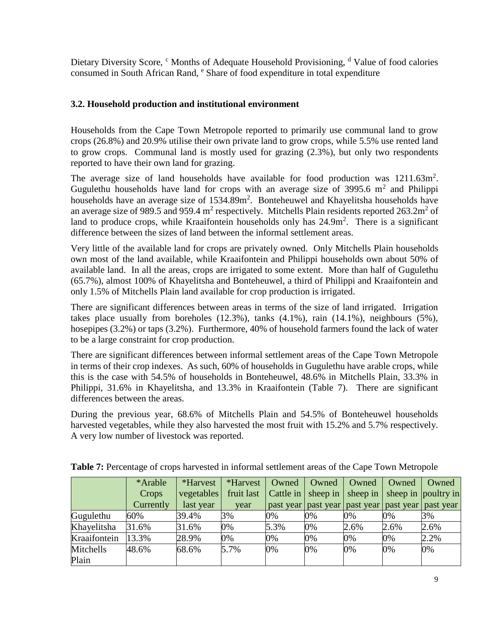Dietary Diversity Score, <sup>c</sup> Months of Adequate Household Provisioning, <sup>d</sup> Value of food calories consumed in South African Rand, <sup>e</sup> Share of food expenditure in total expenditure

## **3.2. Household production and institutional environment**

Households from the Cape Town Metropole reported to primarily use communal land to grow crops (26.8%) and 20.9% utilise their own private land to grow crops, while 5.5% use rented land to grow crops. Communal land is mostly used for grazing (2.3%), but only two respondents reported to have their own land for grazing.

The average size of land households have available for food production was  $1211.63m^2$ . Gugulethu households have land for crops with an average size of 3995.6  $m<sup>2</sup>$  and Philippi households have an average size of 1534.89m<sup>2</sup>. Bonteheuwel and Khayelitsha households have an average size of 989.5 and 959.4 m<sup>2</sup> respectively. Mitchells Plain residents reported  $263.2m^2$  of land to produce crops, while Kraaifontein households only has  $24.9m<sup>2</sup>$ . There is a significant difference between the sizes of land between the informal settlement areas.

Very little of the available land for crops are privately owned. Only Mitchells Plain households own most of the land available, while Kraaifontein and Philippi households own about 50% of available land. In all the areas, crops are irrigated to some extent. More than half of Gugulethu (65.7%), almost 100% of Khayelitsha and Bonteheuwel, a third of Philippi and Kraaifontein and only 1.5% of Mitchells Plain land available for crop production is irrigated.

There are significant differences between areas in terms of the size of land irrigated. Irrigation takes place usually from boreholes (12.3%), tanks (4.1%), rain (14.1%), neighbours (5%), hosepipes (3.2%) or taps (3.2%). Furthermore, 40% of household farmers found the lack of water to be a large constraint for crop production.

There are significant differences between informal settlement areas of the Cape Town Metropole in terms of their crop indexes. As such, 60% of households in Gugulethu have arable crops, while this is the case with 54.5% of households in Bonteheuwel, 48.6% in Mitchells Plain, 33.3% in Philippi, 31.6% in Khayelitsha, and 13.3% in Kraaifontein [\(Table 7\)](#page-8-0). There are significant differences between the areas.

During the previous year, 68.6% of Mitchells Plain and 54.5% of Bonteheuwel households harvested vegetables, while they also harvested the most fruit with 15.2% and 5.7% respectively. A very low number of livestock was reported.

|              | *Arable   | *Harvest   | *Harvest   | Owned | Owned                      | Owned | Owned | Owned                                        |
|--------------|-----------|------------|------------|-------|----------------------------|-------|-------|----------------------------------------------|
|              | Crops     | vegetables | fruit last |       | Cattle in $\vert$ sheep in |       |       | sheep in $\vert$ sheep in $\vert$ poultry in |
|              | Currently | last year  | year       |       | past year past year        |       |       | past year   past year   past year            |
| Gugulethu    | 60%       | 39.4%      | 3%         | 0%    | 0%                         | 0%    | 0%    | 3%                                           |
| Khayelitsha  | 31.6%     | 31.6%      | 0%         | 5.3%  | 0%                         | 2.6%  | 2.6%  | 2.6%                                         |
| Kraaifontein | 13.3%     | 28.9%      | 0%         | 0%    | 0%                         | 0%    | 0%    | 2.2%                                         |
| Mitchells    | 48.6%     | 68.6%      | 5.7%       | 0%    | 0%                         | 0%    | 0%    | 0%                                           |
| Plain        |           |            |            |       |                            |       |       |                                              |

<span id="page-8-0"></span>**Table 7:** Percentage of crops harvested in informal settlement areas of the Cape Town Metropole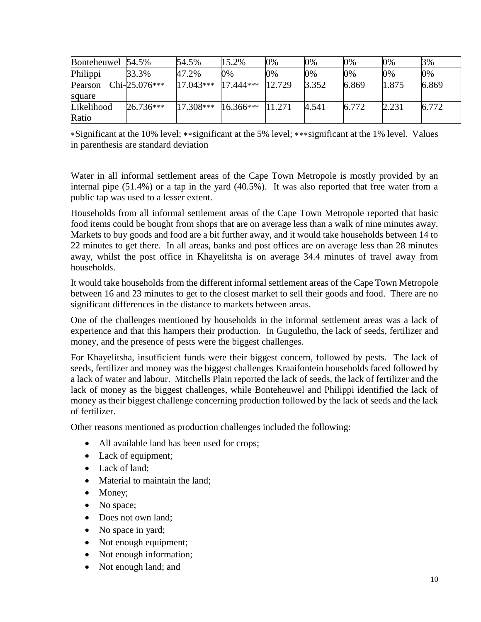| Bonteheuwel 54.5% |                 | 54.5%       | 15.2%              | 0%     | 0%    | 0%    | 0%    | 3%    |
|-------------------|-----------------|-------------|--------------------|--------|-------|-------|-------|-------|
| Philippi          | 33.3%           | 47.2%       | 0%                 | 0%     | 0%    | 0%    | 0%    | 0%    |
| Pearson           | $Chi-25.076***$ | $17.043***$ | $17.444***$        | 12.729 | 3.352 | 6.869 | 1.875 | 6.869 |
| square            |                 |             |                    |        |       |       |       |       |
| Likelihood        | 26.736***       | $17.308***$ | $16.366***$ 11.271 |        | 4.541 | 6.772 | 2.231 | 6.772 |
| Ratio             |                 |             |                    |        |       |       |       |       |

∗Significant at the 10% level; ∗∗significant at the 5% level; ∗∗∗significant at the 1% level. Values in parenthesis are standard deviation

Water in all informal settlement areas of the Cape Town Metropole is mostly provided by an internal pipe (51.4%) or a tap in the yard (40.5%). It was also reported that free water from a public tap was used to a lesser extent.

Households from all informal settlement areas of the Cape Town Metropole reported that basic food items could be bought from shops that are on average less than a walk of nine minutes away. Markets to buy goods and food are a bit further away, and it would take households between 14 to 22 minutes to get there. In all areas, banks and post offices are on average less than 28 minutes away, whilst the post office in Khayelitsha is on average 34.4 minutes of travel away from households.

It would take households from the different informal settlement areas of the Cape Town Metropole between 16 and 23 minutes to get to the closest market to sell their goods and food. There are no significant differences in the distance to markets between areas.

One of the challenges mentioned by households in the informal settlement areas was a lack of experience and that this hampers their production. In Gugulethu, the lack of seeds, fertilizer and money, and the presence of pests were the biggest challenges.

For Khayelitsha, insufficient funds were their biggest concern, followed by pests. The lack of seeds, fertilizer and money was the biggest challenges Kraaifontein households faced followed by a lack of water and labour. Mitchells Plain reported the lack of seeds, the lack of fertilizer and the lack of money as the biggest challenges, while Bonteheuwel and Philippi identified the lack of money as their biggest challenge concerning production followed by the lack of seeds and the lack of fertilizer.

Other reasons mentioned as production challenges included the following:

- All available land has been used for crops;
- Lack of equipment;
- Lack of land:
- Material to maintain the land;
- Money;
- No space;
- Does not own land;
- No space in yard;
- Not enough equipment;
- Not enough information;
- Not enough land; and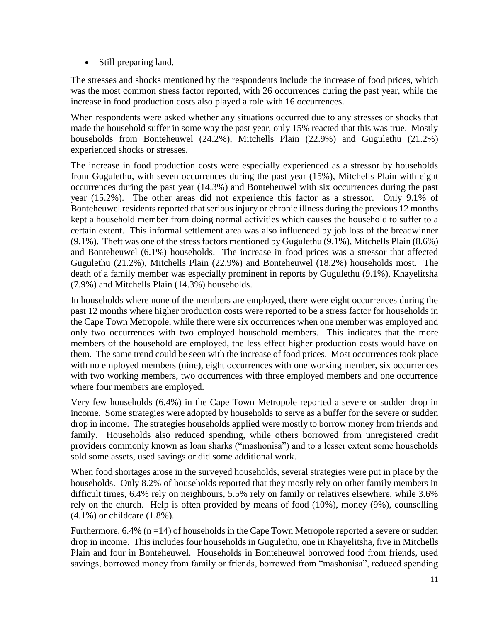• Still preparing land.

The stresses and shocks mentioned by the respondents include the increase of food prices, which was the most common stress factor reported, with 26 occurrences during the past year, while the increase in food production costs also played a role with 16 occurrences.

When respondents were asked whether any situations occurred due to any stresses or shocks that made the household suffer in some way the past year, only 15% reacted that this was true. Mostly households from Bonteheuwel (24.2%), Mitchells Plain (22.9%) and Gugulethu (21.2%) experienced shocks or stresses.

The increase in food production costs were especially experienced as a stressor by households from Gugulethu, with seven occurrences during the past year (15%), Mitchells Plain with eight occurrences during the past year (14.3%) and Bonteheuwel with six occurrences during the past year (15.2%). The other areas did not experience this factor as a stressor. Only 9.1% of Bonteheuwel residents reported that serious injury or chronic illness during the previous 12 months kept a household member from doing normal activities which causes the household to suffer to a certain extent. This informal settlement area was also influenced by job loss of the breadwinner (9.1%). Theft was one of the stress factors mentioned by Gugulethu (9.1%), Mitchells Plain (8.6%) and Bonteheuwel (6.1%) households. The increase in food prices was a stressor that affected Gugulethu (21.2%), Mitchells Plain (22.9%) and Bonteheuwel (18.2%) households most. The death of a family member was especially prominent in reports by Gugulethu (9.1%), Khayelitsha (7.9%) and Mitchells Plain (14.3%) households.

In households where none of the members are employed, there were eight occurrences during the past 12 months where higher production costs were reported to be a stress factor for households in the Cape Town Metropole, while there were six occurrences when one member was employed and only two occurrences with two employed household members. This indicates that the more members of the household are employed, the less effect higher production costs would have on them. The same trend could be seen with the increase of food prices. Most occurrences took place with no employed members (nine), eight occurrences with one working member, six occurrences with two working members, two occurrences with three employed members and one occurrence where four members are employed.

Very few households (6.4%) in the Cape Town Metropole reported a severe or sudden drop in income. Some strategies were adopted by households to serve as a buffer for the severe or sudden drop in income. The strategies households applied were mostly to borrow money from friends and family. Households also reduced spending, while others borrowed from unregistered credit providers commonly known as loan sharks ("mashonisa") and to a lesser extent some households sold some assets, used savings or did some additional work.

When food shortages arose in the surveyed households, several strategies were put in place by the households. Only 8.2% of households reported that they mostly rely on other family members in difficult times, 6.4% rely on neighbours, 5.5% rely on family or relatives elsewhere, while 3.6% rely on the church. Help is often provided by means of food (10%), money (9%), counselling (4.1%) or childcare (1.8%).

Furthermore,  $6.4\%$  (n = 14) of households in the Cape Town Metropole reported a severe or sudden drop in income. This includes four households in Gugulethu, one in Khayelitsha, five in Mitchells Plain and four in Bonteheuwel. Households in Bonteheuwel borrowed food from friends, used savings, borrowed money from family or friends, borrowed from "mashonisa", reduced spending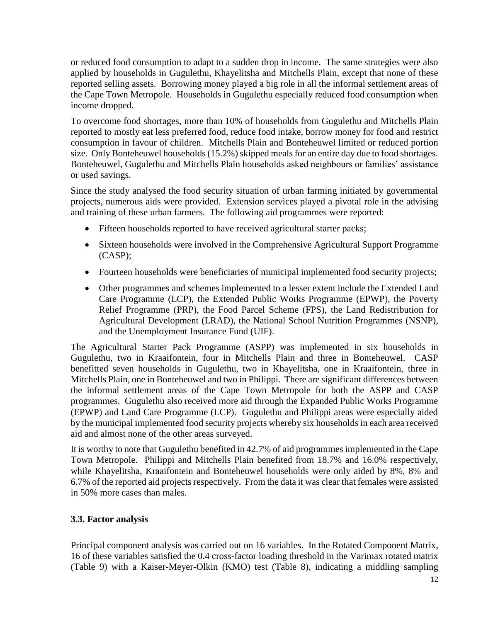or reduced food consumption to adapt to a sudden drop in income. The same strategies were also applied by households in Gugulethu, Khayelitsha and Mitchells Plain, except that none of these reported selling assets. Borrowing money played a big role in all the informal settlement areas of the Cape Town Metropole. Households in Gugulethu especially reduced food consumption when income dropped.

To overcome food shortages, more than 10% of households from Gugulethu and Mitchells Plain reported to mostly eat less preferred food, reduce food intake, borrow money for food and restrict consumption in favour of children. Mitchells Plain and Bonteheuwel limited or reduced portion size. Only Bonteheuwel households (15.2%) skipped meals for an entire day due to food shortages. Bonteheuwel, Gugulethu and Mitchells Plain households asked neighbours or families' assistance or used savings.

Since the study analysed the food security situation of urban farming initiated by governmental projects, numerous aids were provided. Extension services played a pivotal role in the advising and training of these urban farmers. The following aid programmes were reported:

- Fifteen households reported to have received agricultural starter packs;
- Sixteen households were involved in the Comprehensive Agricultural Support Programme (CASP);
- Fourteen households were beneficiaries of municipal implemented food security projects;
- Other programmes and schemes implemented to a lesser extent include the Extended Land Care Programme (LCP), the Extended Public Works Programme (EPWP), the Poverty Relief Programme (PRP), the Food Parcel Scheme (FPS), the Land Redistribution for Agricultural Development (LRAD), the National School Nutrition Programmes (NSNP), and the Unemployment Insurance Fund (UIF).

The Agricultural Starter Pack Programme (ASPP) was implemented in six households in Gugulethu, two in Kraaifontein, four in Mitchells Plain and three in Bonteheuwel. CASP benefitted seven households in Gugulethu, two in Khayelitsha, one in Kraaifontein, three in Mitchells Plain, one in Bonteheuwel and two in Philippi. There are significant differences between the informal settlement areas of the Cape Town Metropole for both the ASPP and CASP programmes. Gugulethu also received more aid through the Expanded Public Works Programme (EPWP) and Land Care Programme (LCP). Gugulethu and Philippi areas were especially aided by the municipal implemented food security projects whereby six households in each area received aid and almost none of the other areas surveyed.

It is worthy to note that Gugulethu benefited in 42.7% of aid programmes implemented in the Cape Town Metropole. Philippi and Mitchells Plain benefited from 18.7% and 16.0% respectively, while Khayelitsha, Kraaifontein and Bonteheuwel households were only aided by 8%, 8% and 6.7% of the reported aid projects respectively. From the data it was clear that females were assisted in 50% more cases than males.

## **3.3. Factor analysis**

Principal component analysis was carried out on 16 variables. In the Rotated Component Matrix, 16 of these variables satisfied the 0.4 cross-factor loading threshold in the Varimax rotated matrix [\(Table 9\)](#page-14-0) with a Kaiser-Meyer-Olkin (KMO) test [\(Table 8\)](#page-12-0), indicating a middling sampling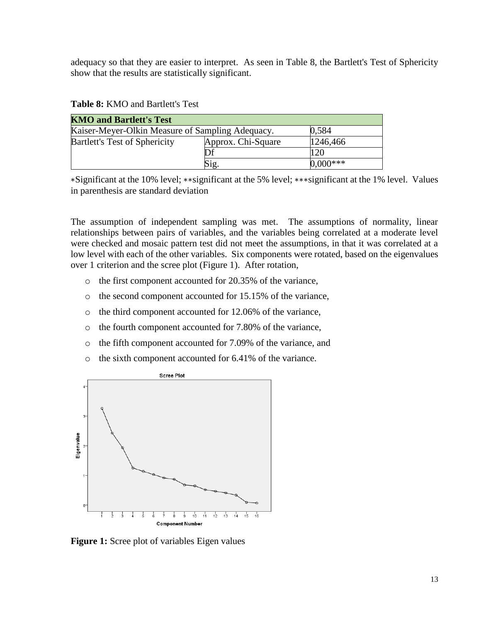adequacy so that they are easier to interpret. As seen in [Table 8,](#page-12-0) the Bartlett's Test of Sphericity show that the results are statistically significant.

| <b>KMO and Bartlett's Test</b>                            |                    |            |  |  |  |
|-----------------------------------------------------------|--------------------|------------|--|--|--|
| Kaiser-Meyer-Olkin Measure of Sampling Adequacy.<br>0,584 |                    |            |  |  |  |
| <b>Bartlett's Test of Sphericity</b>                      | Approx. Chi-Square | 1246,466   |  |  |  |
|                                                           | Df                 | 120        |  |  |  |
|                                                           | Sig.               | $0.000***$ |  |  |  |

<span id="page-12-0"></span>**Table 8:** KMO and Bartlett's Test

∗Significant at the 10% level; ∗∗significant at the 5% level; ∗∗∗significant at the 1% level. Values in parenthesis are standard deviation

The assumption of independent sampling was met. The assumptions of normality, linear relationships between pairs of variables, and the variables being correlated at a moderate level were checked and mosaic pattern test did not meet the assumptions, in that it was correlated at a low level with each of the other variables. Six components were rotated, based on the eigenvalues over 1 criterion and the scree plot [\(Figure 1\)](#page-12-1). After rotation,

- o the first component accounted for 20.35% of the variance,
- o the second component accounted for 15.15% of the variance,
- o the third component accounted for 12.06% of the variance,
- o the fourth component accounted for 7.80% of the variance,
- o the fifth component accounted for 7.09% of the variance, and
- o the sixth component accounted for 6.41% of the variance.



<span id="page-12-1"></span>**Figure 1:** Scree plot of variables Eigen values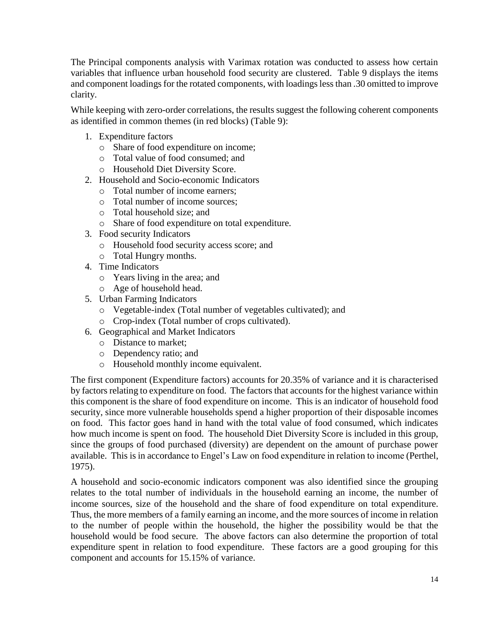The Principal components analysis with Varimax rotation was conducted to assess how certain variables that influence urban household food security are clustered. [Table 9](#page-14-0) displays the items and component loadings for the rotated components, with loadings less than .30 omitted to improve clarity.

While keeping with zero-order correlations, the results suggest the following coherent components as identified in common themes (in red blocks) [\(Table 9\)](#page-14-0):

- 1. Expenditure factors
	- o Share of food expenditure on income;
	- o Total value of food consumed; and
	- o Household Diet Diversity Score.
- 2. Household and Socio-economic Indicators
	- o Total number of income earners;
	- o Total number of income sources;
	- o Total household size; and
	- o Share of food expenditure on total expenditure.
- 3. Food security Indicators
	- o Household food security access score; and
	- o Total Hungry months.
- 4. Time Indicators
	- o Years living in the area; and
	- o Age of household head.
- 5. Urban Farming Indicators
	- o Vegetable-index (Total number of vegetables cultivated); and
	- o Crop-index (Total number of crops cultivated).
- 6. Geographical and Market Indicators
	- o Distance to market;
	- o Dependency ratio; and
	- o Household monthly income equivalent.

The first component (Expenditure factors) accounts for 20.35% of variance and it is characterised by factors relating to expenditure on food. The factors that accounts for the highest variance within this component is the share of food expenditure on income. This is an indicator of household food security, since more vulnerable households spend a higher proportion of their disposable incomes on food. This factor goes hand in hand with the total value of food consumed, which indicates how much income is spent on food. The household Diet Diversity Score is included in this group, since the groups of food purchased (diversity) are dependent on the amount of purchase power available. This is in accordance to Engel's Law on food expenditure in relation to income (Perthel, 1975).

A household and socio-economic indicators component was also identified since the grouping relates to the total number of individuals in the household earning an income, the number of income sources, size of the household and the share of food expenditure on total expenditure. Thus, the more members of a family earning an income, and the more sources of income in relation to the number of people within the household, the higher the possibility would be that the household would be food secure. The above factors can also determine the proportion of total expenditure spent in relation to food expenditure. These factors are a good grouping for this component and accounts for 15.15% of variance.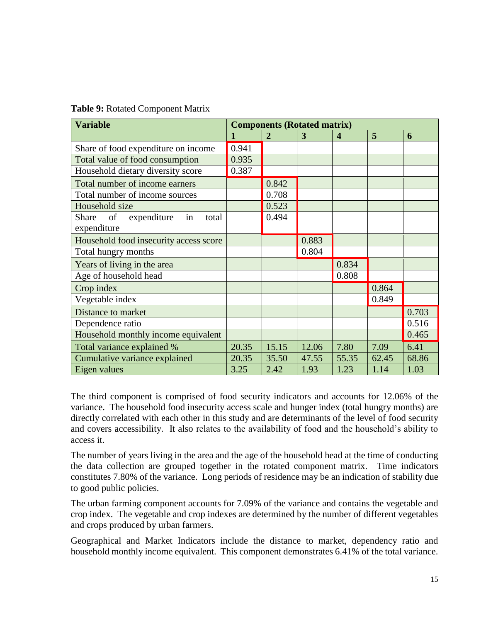<span id="page-14-0"></span>

|  |  | Table 9: Rotated Component Matrix |  |
|--|--|-----------------------------------|--|
|--|--|-----------------------------------|--|

| <b>Variable</b>                           |       |                | <b>Components (Rotated matrix)</b> |                  |       |       |
|-------------------------------------------|-------|----------------|------------------------------------|------------------|-------|-------|
|                                           | 1     | $\overline{2}$ | 3                                  | $\boldsymbol{4}$ | 5     | 6     |
| Share of food expenditure on income       | 0.941 |                |                                    |                  |       |       |
| Total value of food consumption           | 0.935 |                |                                    |                  |       |       |
| Household dietary diversity score         | 0.387 |                |                                    |                  |       |       |
| Total number of income earners            |       | 0.842          |                                    |                  |       |       |
| Total number of income sources            |       | 0.708          |                                    |                  |       |       |
| Household size                            |       | 0.523          |                                    |                  |       |       |
| in<br>Share<br>of<br>expenditure<br>total |       | 0.494          |                                    |                  |       |       |
| expenditure                               |       |                |                                    |                  |       |       |
| Household food insecurity access score    |       |                | 0.883                              |                  |       |       |
| Total hungry months                       |       |                | 0.804                              |                  |       |       |
| Years of living in the area               |       |                |                                    | 0.834            |       |       |
| Age of household head                     |       |                |                                    | 0.808            |       |       |
| Crop index                                |       |                |                                    |                  | 0.864 |       |
| Vegetable index                           |       |                |                                    |                  | 0.849 |       |
| Distance to market                        |       |                |                                    |                  |       | 0.703 |
| Dependence ratio                          |       |                |                                    |                  |       | 0.516 |
| Household monthly income equivalent       |       |                |                                    |                  |       | 0.465 |
| Total variance explained %                | 20.35 | 15.15          | 12.06                              | 7.80             | 7.09  | 6.41  |
| Cumulative variance explained             | 20.35 | 35.50          | 47.55                              | 55.35            | 62.45 | 68.86 |
| Eigen values                              | 3.25  | 2.42           | 1.93                               | 1.23             | 1.14  | 1.03  |

The third component is comprised of food security indicators and accounts for 12.06% of the variance. The household food insecurity access scale and hunger index (total hungry months) are directly correlated with each other in this study and are determinants of the level of food security and covers accessibility. It also relates to the availability of food and the household's ability to access it.

The number of years living in the area and the age of the household head at the time of conducting the data collection are grouped together in the rotated component matrix. Time indicators constitutes 7.80% of the variance. Long periods of residence may be an indication of stability due to good public policies.

The urban farming component accounts for 7.09% of the variance and contains the vegetable and crop index. The vegetable and crop indexes are determined by the number of different vegetables and crops produced by urban farmers.

Geographical and Market Indicators include the distance to market, dependency ratio and household monthly income equivalent. This component demonstrates 6.41% of the total variance.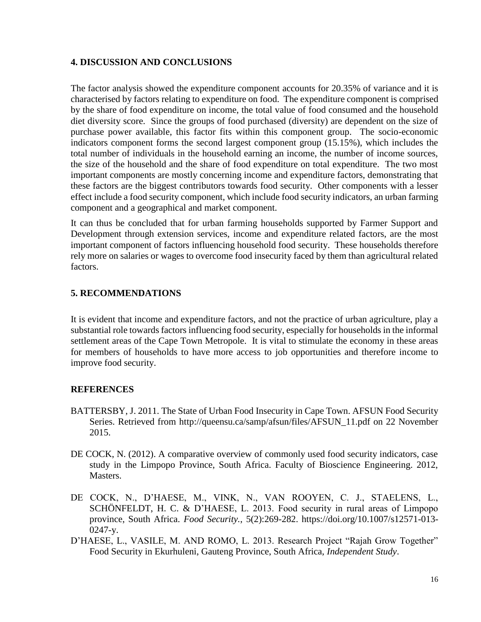#### **4. DISCUSSION AND CONCLUSIONS**

The factor analysis showed the expenditure component accounts for 20.35% of variance and it is characterised by factors relating to expenditure on food. The expenditure component is comprised by the share of food expenditure on income, the total value of food consumed and the household diet diversity score. Since the groups of food purchased (diversity) are dependent on the size of purchase power available, this factor fits within this component group. The socio-economic indicators component forms the second largest component group (15.15%), which includes the total number of individuals in the household earning an income, the number of income sources, the size of the household and the share of food expenditure on total expenditure. The two most important components are mostly concerning income and expenditure factors, demonstrating that these factors are the biggest contributors towards food security. Other components with a lesser effect include a food security component, which include food security indicators, an urban farming component and a geographical and market component.

It can thus be concluded that for urban farming households supported by Farmer Support and Development through extension services, income and expenditure related factors, are the most important component of factors influencing household food security. These households therefore rely more on salaries or wages to overcome food insecurity faced by them than agricultural related factors.

## **5. RECOMMENDATIONS**

It is evident that income and expenditure factors, and not the practice of urban agriculture, play a substantial role towards factors influencing food security, especially for households in the informal settlement areas of the Cape Town Metropole. It is vital to stimulate the economy in these areas for members of households to have more access to job opportunities and therefore income to improve food security.

## **REFERENCES**

- BATTERSBY, J. 2011. The State of Urban Food Insecurity in Cape Town. AFSUN Food Security Series. Retrieved from [http://queensu.ca/samp/afsun/files/AFSUN\\_11.pdf on 22 November](http://queensu.ca/samp/afsun/files/AFSUN_11.pdf%20on%2022%20November%202015)  [2015.](http://queensu.ca/samp/afsun/files/AFSUN_11.pdf%20on%2022%20November%202015)
- DE COCK, N. (2012). A comparative overview of commonly used food security indicators, case study in the Limpopo Province, South Africa. Faculty of Bioscience Engineering. 2012, Masters.
- DE COCK, N., D'HAESE, M., VINK, N., VAN ROOYEN, C. J., STAELENS, L., SCHÖNFELDT, H. C. & D'HAESE, L. 2013. Food security in rural areas of Limpopo province, South Africa. *Food Security.*, 5(2):269-282. https://doi.org/10.1007/s12571-013- 0247-y.
- D'HAESE, L., VASILE, M. AND ROMO, L. 2013. Research Project "Rajah Grow Together" Food Security in Ekurhuleni, Gauteng Province, South Africa, *Independent Study*.